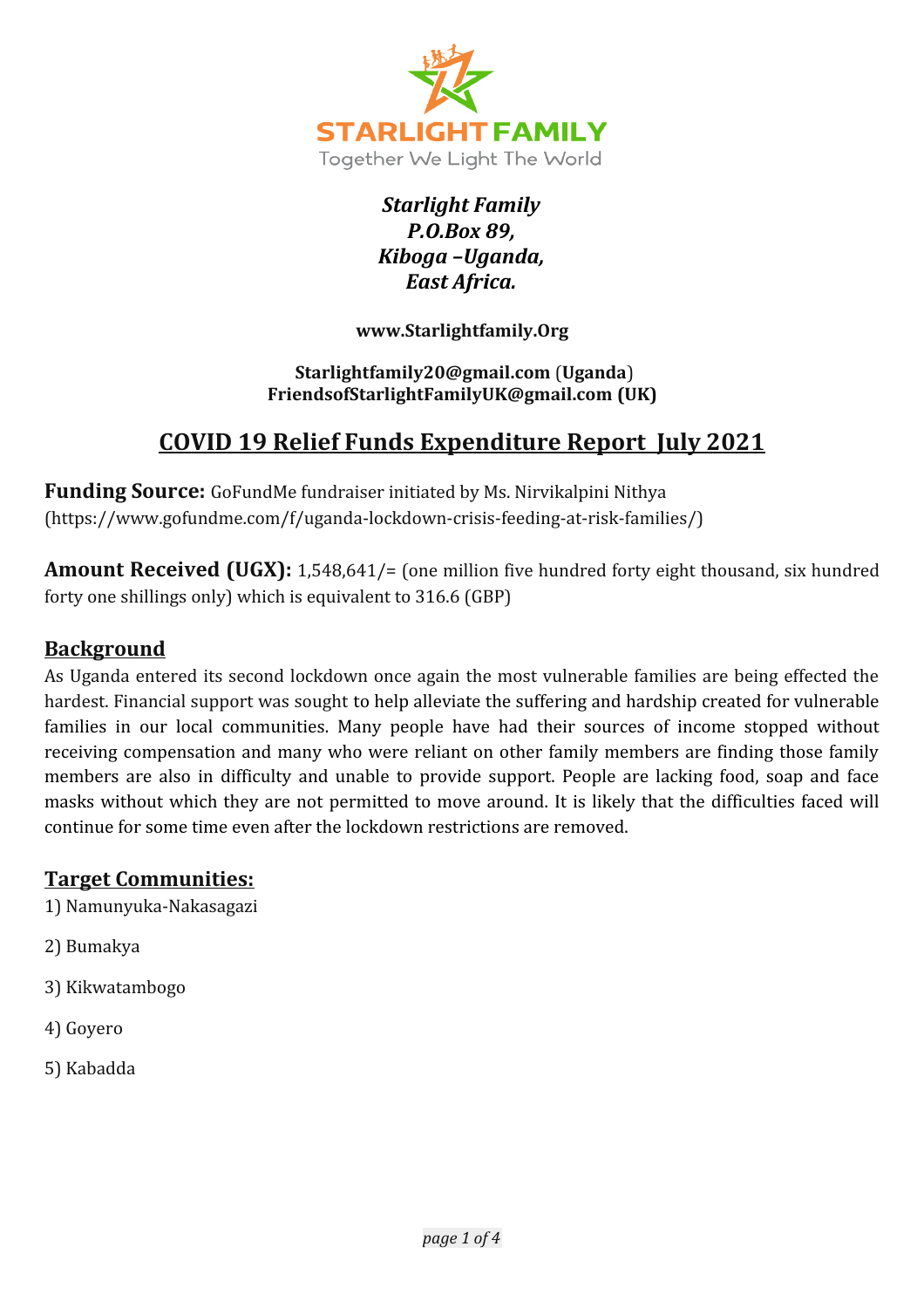

### *Starlight Family P.O.Box 89, Kiboga –Uganda, East Africa.*

**www.Starlightfamily.Org**

#### **Starlightfamily20@gmail.com** (**Uganda**) **FriendsofStarlightFamilyUK@gmail.com (UK)**

# **COVID 19 Relief Funds Expenditure Report July 2021**

**Funding Source:** GoFundMe fundraiser initiated by Ms. Nirvikalpini Nithya (https://www.gofundme.com/f/uganda-lockdown-crisis-feeding-at-risk-families/)

**Amount Received (UGX):** 1,548,641/= (one million five hundred forty eight thousand, six hundred forty one shillings only) which is equivalent to 316.6 (GBP)

#### **Background**

As Uganda entered its second lockdown once again the most vulnerable families are being effected the hardest. Financial support was sought to help alleviate the suffering and hardship created for vulnerable families in our local communities. Many people have had their sources of income stopped without receiving compensation and many who were reliant on other family members are finding those family members are also in difficulty and unable to provide support. People are lacking food, soap and face masks without which they are not permitted to move around. It is likely that the difficulties faced will continue for some time even after the lockdown restrictions are removed.

### **Target Communities:**

1) Namunyuka-Nakasagazi

- 2) Bumakya
- 3) Kikwatambogo
- 4) Goyero
- 5) Kabadda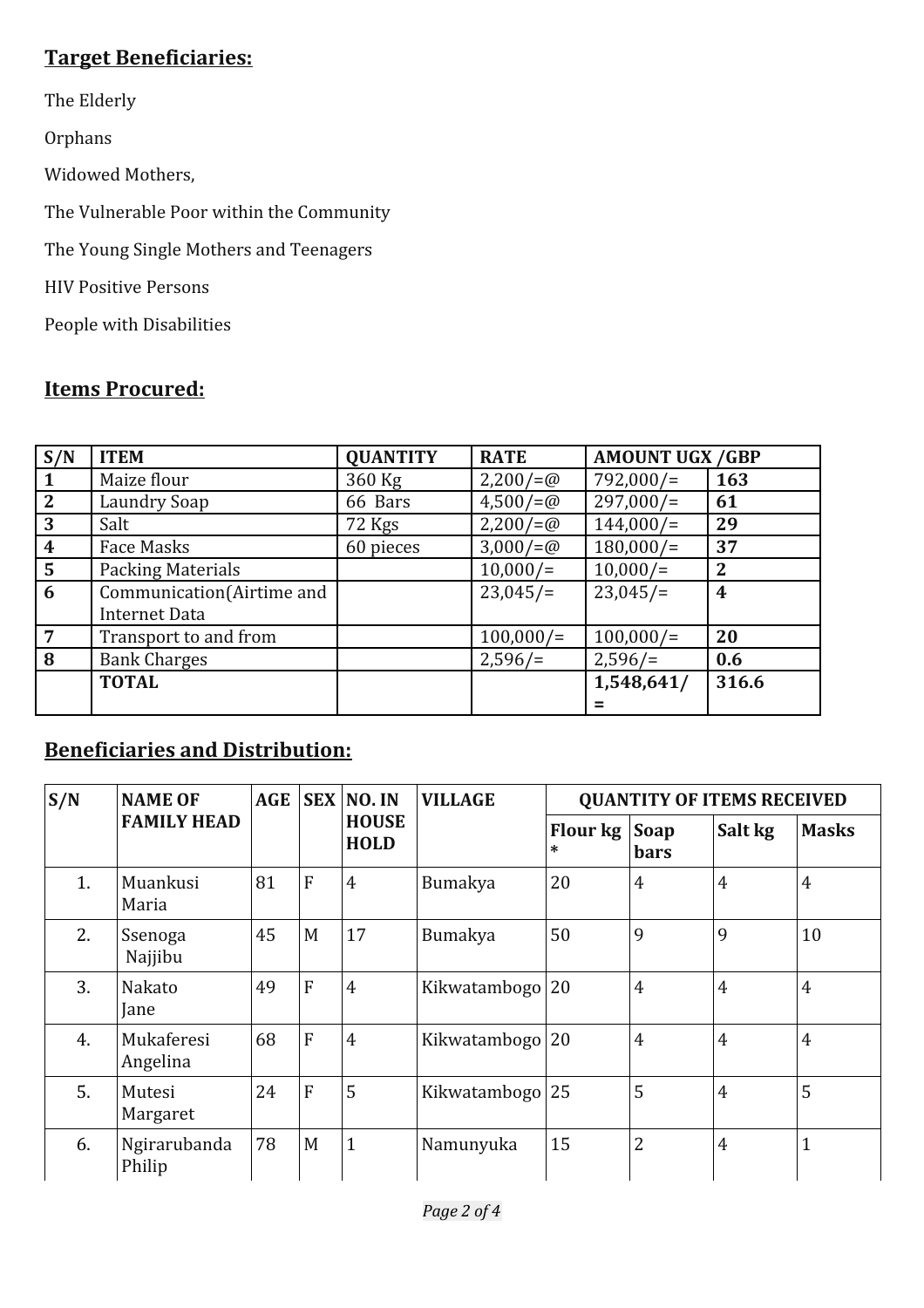## **Target Beneficiaries:**

The Elderly

Orphans

Widowed Mothers,

The Vulnerable Poor within the Community

The Young Single Mothers and Teenagers

HIV Positive Persons

People with Disabilities

### **Items Procured:**

| S/N              | <b>ITEM</b>               | <b>QUANTITY</b> | <b>RATE</b>        | <b>AMOUNT UGX /GBP</b> |       |
|------------------|---------------------------|-----------------|--------------------|------------------------|-------|
| $\mathbf 1$      | Maize flour               | 360 Kg          | $2,200/=\omega$    | $792,000/$ =           | 163   |
| <sup>2</sup>     | Laundry Soap              | 66 Bars         | $4,500/=\omega$    | $297,000/$ =           | 61    |
| 3                | Salt                      | 72 Kgs          | $2,200/=\omega$    | $144,000/$ =           | 29    |
| $\boldsymbol{4}$ | Face Masks                | 60 pieces       | $3,000/=\emptyset$ | $180,000/$ =           | 37    |
| $\overline{5}$   | <b>Packing Materials</b>  |                 | $10,000/$ =        | $10,000/$ =            | 2     |
| 6                | Communication(Airtime and |                 | 23,045/            | 23,045/                | 4     |
|                  | <b>Internet Data</b>      |                 |                    |                        |       |
| $\overline{7}$   | Transport to and from     |                 | $100,000/$ =       | $100,000/$ =           | 20    |
| 8                | <b>Bank Charges</b>       |                 | $2,596/=$          | $2,596/=$              | 0.6   |
|                  | <b>TOTAL</b>              |                 |                    | 1,548,641/             | 316.6 |
|                  |                           |                 |                    |                        |       |

## **Beneficiaries and Distribution:**

| S/N | <b>NAME OF</b>         | <b>AGE</b> | <b>SEX</b> | NO.IN                       | <b>VILLAGE</b>    | <b>QUANTITY OF ITEMS RECEIVED</b> |                     |                |                |
|-----|------------------------|------------|------------|-----------------------------|-------------------|-----------------------------------|---------------------|----------------|----------------|
|     | <b>FAMILY HEAD</b>     |            |            | <b>HOUSE</b><br><b>HOLD</b> |                   | <b>Flour kg</b><br>*              | Soap<br><b>bars</b> | Salt kg        | <b>Masks</b>   |
| 1.  | Muankusi<br>Maria      | 81         | F          | $\overline{4}$              | Bumakya           | 20                                | $\overline{4}$      | $\overline{4}$ | $\overline{4}$ |
| 2.  | Ssenoga<br>Najjibu     | 45         | M          | 17                          | Bumakya           | 50                                | $\mathbf{q}$        | 9              | 10             |
| 3.  | <b>Nakato</b><br>Jane  | 49         | F          | $\overline{4}$              | Kikwatambogo 20   |                                   | $\overline{4}$      | $\overline{4}$ | $\overline{4}$ |
| 4.  | Mukaferesi<br>Angelina | 68         | F          | $\overline{4}$              | Kikwatambogo   20 |                                   | $\overline{4}$      | $\overline{4}$ | $\overline{4}$ |
| 5.  | Mutesi<br>Margaret     | 24         | F          | 5                           | Kikwatambogo 25   |                                   | 5                   | $\overline{4}$ | 5              |
| 6.  | Ngirarubanda<br>Philip | 78         | M          | $\mathbf{1}$                | Namunyuka         | 15                                | $\overline{2}$      | $\overline{4}$ | $\mathbf{1}$   |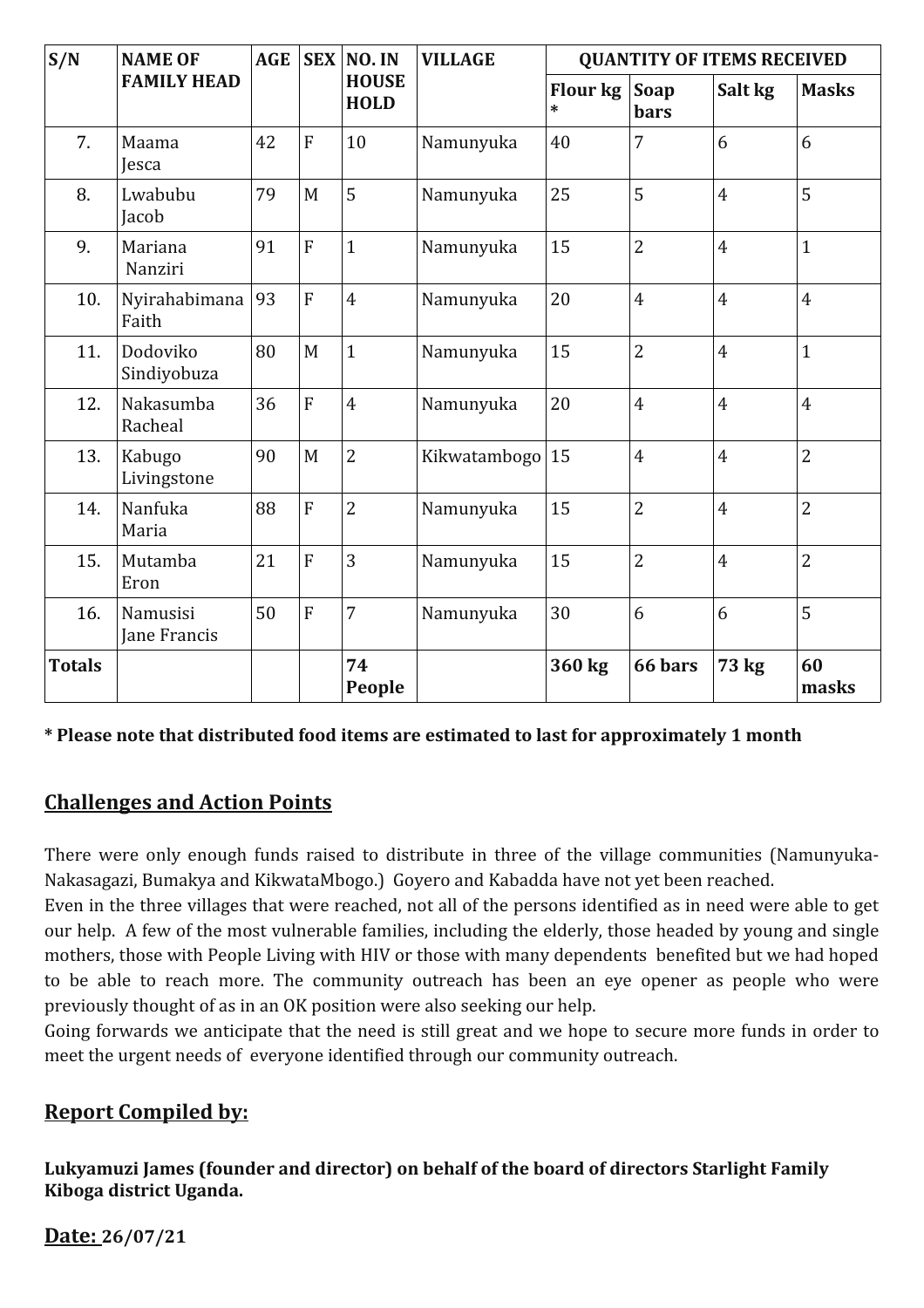| S/N           | <b>NAME OF</b>           | <b>AGE</b> | <b>SEX</b>     | NO.IN                       | <b>VILLAGE</b>  | <b>QUANTITY OF ITEMS RECEIVED</b> |                |                |                |
|---------------|--------------------------|------------|----------------|-----------------------------|-----------------|-----------------------------------|----------------|----------------|----------------|
|               | <b>FAMILY HEAD</b>       |            |                | <b>HOUSE</b><br><b>HOLD</b> |                 | <b>Flour kg</b><br>$\ast$         | Soap<br>bars   | Salt kg        | <b>Masks</b>   |
| 7.            | Maama<br>Jesca           | 42         | $\overline{F}$ | $10\,$                      | Namunyuka       | 40                                | 7              | 6              | 6              |
| 8.            | Lwabubu<br>Jacob         | 79         | M              | 5                           | Namunyuka       | 25                                | 5              | $\overline{4}$ | 5              |
| 9.            | Mariana<br>Nanziri       | 91         | $\overline{F}$ | $\mathbf{1}$                | Namunyuka       | 15                                | $\overline{2}$ | $\overline{4}$ | $\mathbf{1}$   |
| 10.           | Nyirahabimana<br>Faith   | 93         | $\overline{F}$ | $\overline{4}$              | Namunyuka       | 20                                | $\overline{4}$ | $\overline{4}$ | $\overline{4}$ |
| 11.           | Dodoviko<br>Sindiyobuza  | 80         | M              | $\mathbf{1}$                | Namunyuka       | 15                                | $\overline{2}$ | $\overline{4}$ | $\mathbf{1}$   |
| 12.           | Nakasumba<br>Racheal     | 36         | $\overline{F}$ | $\overline{4}$              | Namunyuka       | 20                                | $\overline{4}$ | $\overline{4}$ | $\overline{4}$ |
| 13.           | Kabugo<br>Livingstone    | 90         | M              | $\overline{2}$              | Kikwatambogo 15 |                                   | $\overline{4}$ | $\overline{4}$ | $\overline{2}$ |
| 14.           | Nanfuka<br>Maria         | 88         | $\overline{F}$ | $\overline{2}$              | Namunyuka       | 15                                | $\overline{2}$ | $\overline{4}$ | $\overline{2}$ |
| 15.           | Mutamba<br>Eron          | 21         | F              | 3                           | Namunyuka       | 15                                | $\overline{2}$ | $\overline{4}$ | $\overline{2}$ |
| 16.           | Namusisi<br>Jane Francis | 50         | $\overline{F}$ | $\overline{7}$              | Namunyuka       | 30                                | 6              | 6              | 5              |
| <b>Totals</b> |                          |            |                | 74<br>People                |                 | 360 kg                            | 66 bars        | 73 kg          | 60<br>masks    |

#### **\* Please note that distributed food items are estimated to last for approximately 1 month**

### **Challenges and Action Points**

There were only enough funds raised to distribute in three of the village communities (Namunyuka-Nakasagazi, Bumakya and KikwataMbogo.) Goyero and Kabadda have not yet been reached.

Even in the three villages that were reached, not all of the persons identified as in need were able to get our help. A few of the most vulnerable families, including the elderly, those headed by young and single mothers, those with People Living with HIV or those with many dependents benefited but we had hoped to be able to reach more. The community outreach has been an eye opener as people who were previously thought of as in an OK position were also seeking our help.

Going forwards we anticipate that the need is still great and we hope to secure more funds in order to meet the urgent needs of everyone identified through our community outreach.

### **Report Compiled by:**

**Lukyamuzi James (founder and director) on behalf of the board of directors Starlight Family Kiboga district Uganda.**

**Date: 26/07/21**